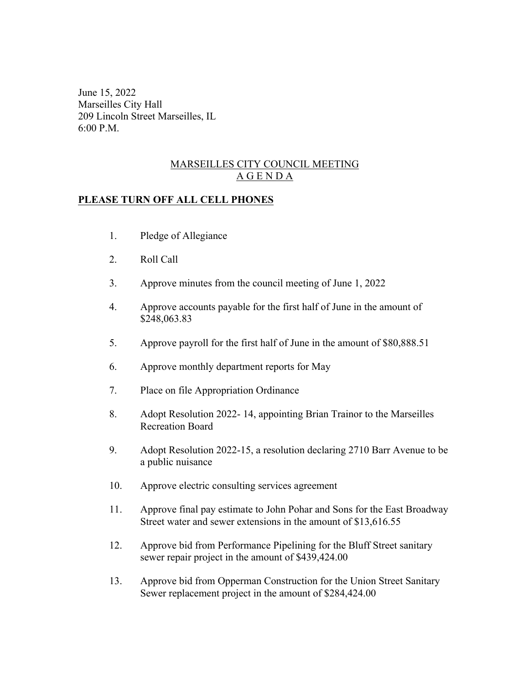June 15, 2022 Marseilles City Hall 209 Lincoln Street Marseilles, IL 6:00 P.M.

## MARSEILLES CITY COUNCIL MEETING A G E N D A

## **PLEASE TURN OFF ALL CELL PHONES**

- 1. Pledge of Allegiance
- 2. Roll Call
- 3. Approve minutes from the council meeting of June 1, 2022
- 4. Approve accounts payable for the first half of June in the amount of \$248,063.83
- 5. Approve payroll for the first half of June in the amount of \$80,888.51
- 6. Approve monthly department reports for May
- 7. Place on file Appropriation Ordinance
- 8. Adopt Resolution 2022- 14, appointing Brian Trainor to the Marseilles Recreation Board
- 9. Adopt Resolution 2022-15, a resolution declaring 2710 Barr Avenue to be a public nuisance
- 10. Approve electric consulting services agreement
- 11. Approve final pay estimate to John Pohar and Sons for the East Broadway Street water and sewer extensions in the amount of \$13,616.55
- 12. Approve bid from Performance Pipelining for the Bluff Street sanitary sewer repair project in the amount of \$439,424.00
- 13. Approve bid from Opperman Construction for the Union Street Sanitary Sewer replacement project in the amount of \$284,424.00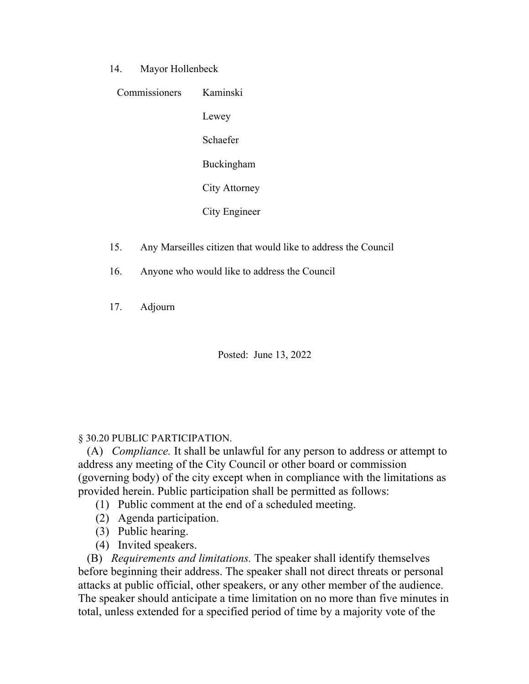14. Mayor Hollenbeck

| Commissioners | Kaminski          |
|---------------|-------------------|
|               | Lewey             |
|               | Schaefer          |
|               | <b>Buckingham</b> |
|               | City Attorney     |
|               | City Engineer     |

- 15. Any Marseilles citizen that would like to address the Council
- 16. Anyone who would like to address the Council
- 17. Adjourn

Posted: June 13, 2022

## § 30.20 PUBLIC PARTICIPATION.

 (A) *Compliance.* It shall be unlawful for any person to address or attempt to address any meeting of the City Council or other board or commission (governing body) of the city except when in compliance with the limitations as provided herein. Public participation shall be permitted as follows:

- (1) Public comment at the end of a scheduled meeting.
- (2) Agenda participation.
- (3) Public hearing.
- (4) Invited speakers.

 (B) *Requirements and limitations.* The speaker shall identify themselves before beginning their address. The speaker shall not direct threats or personal attacks at public official, other speakers, or any other member of the audience. The speaker should anticipate a time limitation on no more than five minutes in total, unless extended for a specified period of time by a majority vote of the